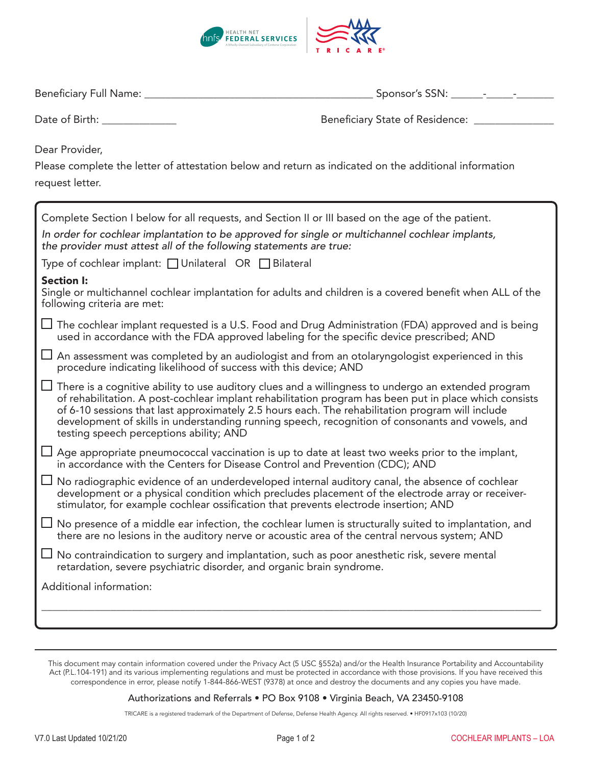

| Beneficiary Full Na<br>ivame | SSN |
|------------------------------|-----|
|------------------------------|-----|

Date of Birth: \_\_\_\_\_\_\_\_\_\_\_\_\_\_ Beneficiary State of Residence: \_\_\_\_\_\_\_\_\_\_\_\_\_\_\_

Dear Provider,

Please complete the letter of attestation below and return as indicated on the additional information request letter.

| Complete Section I below for all requests, and Section II or III based on the age of the patient.                                                                                                                                                                                                                                                                                                                                                                |  |
|------------------------------------------------------------------------------------------------------------------------------------------------------------------------------------------------------------------------------------------------------------------------------------------------------------------------------------------------------------------------------------------------------------------------------------------------------------------|--|
| In order for cochlear implantation to be approved for single or multichannel cochlear implants,<br>the provider must attest all of the following statements are true:                                                                                                                                                                                                                                                                                            |  |
| Type of cochlear implant: □ Unilateral OR □ Bilateral                                                                                                                                                                                                                                                                                                                                                                                                            |  |
| <b>Section I:</b><br>Single or multichannel cochlear implantation for adults and children is a covered benefit when ALL of the<br>following criteria are met:                                                                                                                                                                                                                                                                                                    |  |
| ப<br>The cochlear implant requested is a U.S. Food and Drug Administration (FDA) approved and is being<br>used in accordance with the FDA approved labeling for the specific device prescribed; AND                                                                                                                                                                                                                                                              |  |
| An assessment was completed by an audiologist and from an otolaryngologist experienced in this<br>procedure indicating likelihood of success with this device; AND                                                                                                                                                                                                                                                                                               |  |
| There is a cognitive ability to use auditory clues and a willingness to undergo an extended program<br>of rehabilitation. A post-cochlear implant rehabilitation program has been put in place which consists<br>of 6-10 sessions that last approximately 2.5 hours each. The rehabilitation program will include<br>development of skills in understanding running speech, recognition of consonants and vowels, and<br>testing speech perceptions ability; AND |  |
| Age appropriate pneumococcal vaccination is up to date at least two weeks prior to the implant,<br>in accordance with the Centers for Disease Control and Prevention (CDC); AND                                                                                                                                                                                                                                                                                  |  |
| No radiographic evidence of an underdeveloped internal auditory canal, the absence of cochlear<br>$\Box$<br>development or a physical condition which precludes placement of the electrode array or receiver-<br>stimulator, for example cochlear ossification that prevents electrode insertion; AND                                                                                                                                                            |  |
| $\Box$ No presence of a middle ear infection, the cochlear lumen is structurally suited to implantation, and<br>there are no lesions in the auditory nerve or acoustic area of the central nervous system; AND                                                                                                                                                                                                                                                   |  |
| No contraindication to surgery and implantation, such as poor anesthetic risk, severe mental<br>$\Box$<br>retardation, severe psychiatric disorder, and organic brain syndrome.                                                                                                                                                                                                                                                                                  |  |
| Additional information:                                                                                                                                                                                                                                                                                                                                                                                                                                          |  |
|                                                                                                                                                                                                                                                                                                                                                                                                                                                                  |  |

## Authorizations and Referrals • PO Box 9108 • Virginia Beach, VA 23450-9108

TRICARE is a registered trademark of the Department of Defense, Defense Health Agency. All rights reserved. • HF0917x103 (10/20)

This document may contain information covered under the Privacy Act (5 USC §552a) and/or the Health Insurance Portability and Accountability Act (P.L.104-191) and its various implementing regulations and must be protected in accordance with those provisions. If you have received this correspondence in error, please notify 1-844-866-WEST (9378) at once and destroy the documents and any copies you have made.